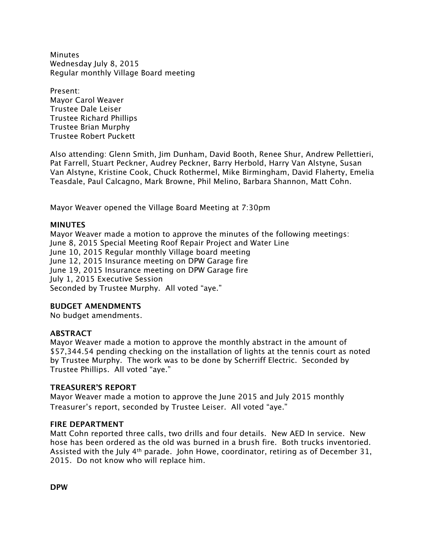**Minutes** Wednesday July 8, 2015 Regular monthly Village Board meeting

Present: Mayor Carol Weaver Trustee Dale Leiser Trustee Richard Phillips Trustee Brian Murphy Trustee Robert Puckett

Also attending: Glenn Smith, Jim Dunham, David Booth, Renee Shur, Andrew Pellettieri, Pat Farrell, Stuart Peckner, Audrey Peckner, Barry Herbold, Harry Van Alstyne, Susan Van Alstyne, Kristine Cook, Chuck Rothermel, Mike Birmingham, David Flaherty, Emelia Teasdale, Paul Calcagno, Mark Browne, Phil Melino, Barbara Shannon, Matt Cohn.

Mayor Weaver opened the Village Board Meeting at 7:30pm

#### **MINUTES**

Mayor Weaver made a motion to approve the minutes of the following meetings: June 8, 2015 Special Meeting Roof Repair Project and Water Line June 10, 2015 Regular monthly Village board meeting June 12, 2015 Insurance meeting on DPW Garage fire June 19, 2015 Insurance meeting on DPW Garage fire July 1, 2015 Executive Session Seconded by Trustee Murphy. All voted "aye."

#### **BUDGET AMENDMENTS**

No budget amendments.

## **ABSTRACT**

Mayor Weaver made a motion to approve the monthly abstract in the amount of \$57,344.54 pending checking on the installation of lights at the tennis court as noted by Trustee Murphy. The work was to be done by Scherriff Electric. Seconded by Trustee Phillips. All voted "aye."

#### **TREASURER'S REPORT**

Mayor Weaver made a motion to approve the June 2015 and July 2015 monthly Treasurer's report, seconded by Trustee Leiser. All voted "aye."

#### **FIRE DEPARTMENT**

Matt Cohn reported three calls, two drills and four details. New AED In service. New hose has been ordered as the old was burned in a brush fire. Both trucks inventoried. Assisted with the July 4<sup>th</sup> parade. John Howe, coordinator, retiring as of December 31, 2015. Do not know who will replace him.

**DPW**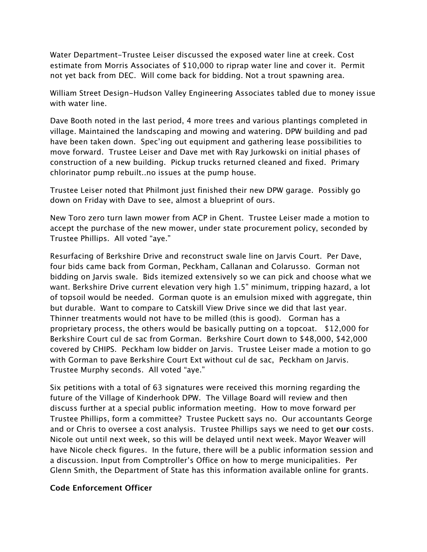Water Department-Trustee Leiser discussed the exposed water line at creek. Cost estimate from Morris Associates of \$10,000 to riprap water line and cover it. Permit not yet back from DEC. Will come back for bidding. Not a trout spawning area.

William Street Design-Hudson Valley Engineering Associates tabled due to money issue with water line.

Dave Booth noted in the last period, 4 more trees and various plantings completed in village. Maintained the landscaping and mowing and watering. DPW building and pad have been taken down. Spec'ing out equipment and gathering lease possibilities to move forward. Trustee Leiser and Dave met with Ray Jurkowski on initial phases of construction of a new building. Pickup trucks returned cleaned and fixed. Primary chlorinator pump rebuilt..no issues at the pump house.

Trustee Leiser noted that Philmont just finished their new DPW garage. Possibly go down on Friday with Dave to see, almost a blueprint of ours.

New Toro zero turn lawn mower from ACP in Ghent. Trustee Leiser made a motion to accept the purchase of the new mower, under state procurement policy, seconded by Trustee Phillips. All voted "aye."

Resurfacing of Berkshire Drive and reconstruct swale line on Jarvis Court. Per Dave, four bids came back from Gorman, Peckham, Callanan and Colarusso. Gorman not bidding on Jarvis swale. Bids itemized extensively so we can pick and choose what we want. Berkshire Drive current elevation very high 1.5" minimum, tripping hazard, a lot of topsoil would be needed. Gorman quote is an emulsion mixed with aggregate, thin but durable. Want to compare to Catskill View Drive since we did that last year. Thinner treatments would not have to be milled (this is good). Gorman has a proprietary process, the others would be basically putting on a topcoat. \$12,000 for Berkshire Court cul de sac from Gorman. Berkshire Court down to \$48,000, \$42,000 covered by CHIPS. Peckham low bidder on Jarvis. Trustee Leiser made a motion to go with Gorman to pave Berkshire Court Ext without cul de sac, Peckham on Jarvis. Trustee Murphy seconds. All voted "aye."

Six petitions with a total of 63 signatures were received this morning regarding the future of the Village of Kinderhook DPW. The Village Board will review and then discuss further at a special public information meeting. How to move forward per Trustee Phillips, form a committee? Trustee Puckett says no. Our accountants George and or Chris to oversee a cost analysis. Trustee Phillips says we need to get **our** costs. Nicole out until next week, so this will be delayed until next week. Mayor Weaver will have Nicole check figures. In the future, there will be a public information session and a discussion. Input from Comptroller's Office on how to merge municipalities. Per Glenn Smith, the Department of State has this information available online for grants.

## **Code Enforcement Officer**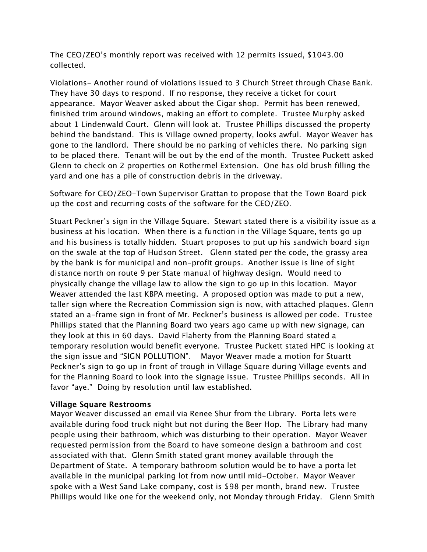The CEO/ZEO's monthly report was received with 12 permits issued, \$1043.00 collected.

Violations- Another round of violations issued to 3 Church Street through Chase Bank. They have 30 days to respond. If no response, they receive a ticket for court appearance. Mayor Weaver asked about the Cigar shop. Permit has been renewed, finished trim around windows, making an effort to complete. Trustee Murphy asked about 1 Lindenwald Court. Glenn will look at. Trustee Phillips discussed the property behind the bandstand. This is Village owned property, looks awful. Mayor Weaver has gone to the landlord. There should be no parking of vehicles there. No parking sign to be placed there. Tenant will be out by the end of the month. Trustee Puckett asked Glenn to check on 2 properties on Rothermel Extension. One has old brush filling the yard and one has a pile of construction debris in the driveway.

Software for CEO/ZEO-Town Supervisor Grattan to propose that the Town Board pick up the cost and recurring costs of the software for the CEO/ZEO.

Stuart Peckner's sign in the Village Square. Stewart stated there is a visibility issue as a business at his location. When there is a function in the Village Square, tents go up and his business is totally hidden. Stuart proposes to put up his sandwich board sign on the swale at the top of Hudson Street. Glenn stated per the code, the grassy area by the bank is for municipal and non-profit groups. Another issue is line of sight distance north on route 9 per State manual of highway design. Would need to physically change the village law to allow the sign to go up in this location. Mayor Weaver attended the last KBPA meeting. A proposed option was made to put a new, taller sign where the Recreation Commission sign is now, with attached plaques. Glenn stated an a-frame sign in front of Mr. Peckner's business is allowed per code. Trustee Phillips stated that the Planning Board two years ago came up with new signage, can they look at this in 60 days. David Flaherty from the Planning Board stated a temporary resolution would benefit everyone. Trustee Puckett stated HPC is looking at the sign issue and "SIGN POLLUTION". Mayor Weaver made a motion for Stuartt Peckner's sign to go up in front of trough in Village Square during Village events and for the Planning Board to look into the signage issue. Trustee Phillips seconds. All in favor "aye." Doing by resolution until law established.

## **Village Square Restrooms**

Mayor Weaver discussed an email via Renee Shur from the Library. Porta lets were available during food truck night but not during the Beer Hop. The Library had many people using their bathroom, which was disturbing to their operation. Mayor Weaver requested permission from the Board to have someone design a bathroom and cost associated with that. Glenn Smith stated grant money available through the Department of State. A temporary bathroom solution would be to have a porta let available in the municipal parking lot from now until mid-October. Mayor Weaver spoke with a West Sand Lake company, cost is \$98 per month, brand new. Trustee Phillips would like one for the weekend only, not Monday through Friday. Glenn Smith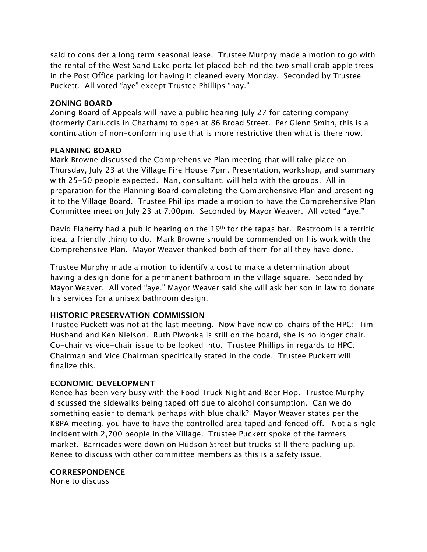said to consider a long term seasonal lease. Trustee Murphy made a motion to go with the rental of the West Sand Lake porta let placed behind the two small crab apple trees in the Post Office parking lot having it cleaned every Monday. Seconded by Trustee Puckett. All voted "aye" except Trustee Phillips "nay."

## **ZONING BOARD**

Zoning Board of Appeals will have a public hearing July 27 for catering company (formerly Carluccis in Chatham) to open at 86 Broad Street. Per Glenn Smith, this is a continuation of non-conforming use that is more restrictive then what is there now.

## **PLANNING BOARD**

Mark Browne discussed the Comprehensive Plan meeting that will take place on Thursday, July 23 at the Village Fire House 7pm. Presentation, workshop, and summary with 25-50 people expected. Nan, consultant, will help with the groups. All in preparation for the Planning Board completing the Comprehensive Plan and presenting it to the Village Board. Trustee Phillips made a motion to have the Comprehensive Plan Committee meet on July 23 at 7:00pm. Seconded by Mayor Weaver. All voted "aye."

David Flaherty had a public hearing on the 19th for the tapas bar. Restroom is a terrific idea, a friendly thing to do. Mark Browne should be commended on his work with the Comprehensive Plan. Mayor Weaver thanked both of them for all they have done.

Trustee Murphy made a motion to identify a cost to make a determination about having a design done for a permanent bathroom in the village square. Seconded by Mayor Weaver. All voted "aye." Mayor Weaver said she will ask her son in law to donate his services for a unisex bathroom design.

# **HISTORIC PRESERVATION COMMISSION**

Trustee Puckett was not at the last meeting. Now have new co-chairs of the HPC: Tim Husband and Ken Nielson. Ruth Piwonka is still on the board, she is no longer chair. Co-chair vs vice-chair issue to be looked into. Trustee Phillips in regards to HPC: Chairman and Vice Chairman specifically stated in the code. Trustee Puckett will finalize this.

# **ECONOMIC DEVELOPMENT**

Renee has been very busy with the Food Truck Night and Beer Hop. Trustee Murphy discussed the sidewalks being taped off due to alcohol consumption. Can we do something easier to demark perhaps with blue chalk? Mayor Weaver states per the KBPA meeting, you have to have the controlled area taped and fenced off. Not a single incident with 2,700 people in the Village. Trustee Puckett spoke of the farmers market. Barricades were down on Hudson Street but trucks still there packing up. Renee to discuss with other committee members as this is a safety issue.

**CORRESPONDENCE**

None to discuss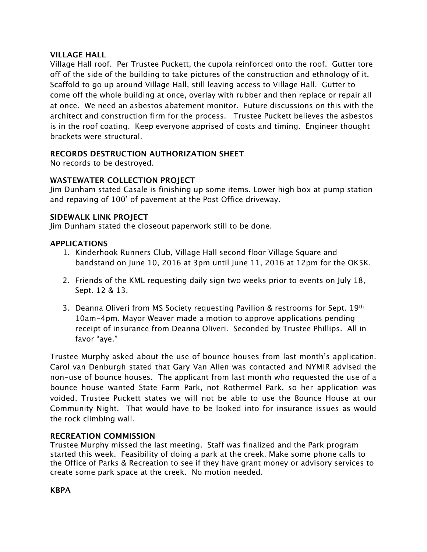## **VILLAGE HALL**

Village Hall roof. Per Trustee Puckett, the cupola reinforced onto the roof. Gutter tore off of the side of the building to take pictures of the construction and ethnology of it. Scaffold to go up around Village Hall, still leaving access to Village Hall. Gutter to come off the whole building at once, overlay with rubber and then replace or repair all at once. We need an asbestos abatement monitor. Future discussions on this with the architect and construction firm for the process. Trustee Puckett believes the asbestos is in the roof coating. Keep everyone apprised of costs and timing. Engineer thought brackets were structural.

# **RECORDS DESTRUCTION AUTHORIZATION SHEET**

No records to be destroyed.

# **WASTEWATER COLLECTION PROJECT**

Jim Dunham stated Casale is finishing up some items. Lower high box at pump station and repaving of 100' of pavement at the Post Office driveway.

## **SIDEWALK LINK PROJECT**

Jim Dunham stated the closeout paperwork still to be done.

## **APPLICATIONS**

- 1. Kinderhook Runners Club, Village Hall second floor Village Square and bandstand on June 10, 2016 at 3pm until June 11, 2016 at 12pm for the OK5K.
- 2. Friends of the KML requesting daily sign two weeks prior to events on July 18, Sept. 12 & 13.
- 3. Deanna Oliveri from MS Society requesting Pavilion & restrooms for Sept. 19th 10am-4pm. Mayor Weaver made a motion to approve applications pending receipt of insurance from Deanna Oliveri. Seconded by Trustee Phillips. All in favor "aye."

Trustee Murphy asked about the use of bounce houses from last month's application. Carol van Denburgh stated that Gary Van Allen was contacted and NYMIR advised the non-use of bounce houses. The applicant from last month who requested the use of a bounce house wanted State Farm Park, not Rothermel Park, so her application was voided. Trustee Puckett states we will not be able to use the Bounce House at our Community Night. That would have to be looked into for insurance issues as would the rock climbing wall.

## **RECREATION COMMISSION**

Trustee Murphy missed the last meeting. Staff was finalized and the Park program started this week. Feasibility of doing a park at the creek. Make some phone calls to the Office of Parks & Recreation to see if they have grant money or advisory services to create some park space at the creek. No motion needed.

**KBPA**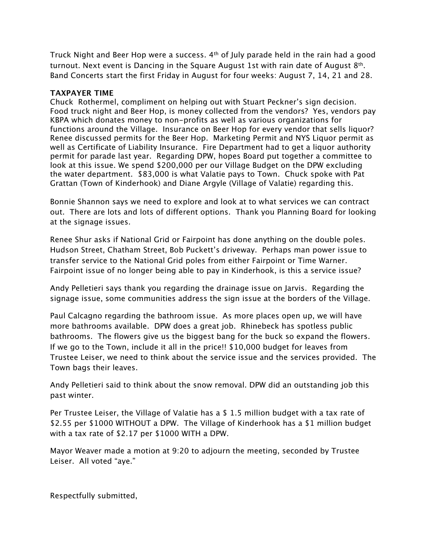Truck Night and Beer Hop were a success.  $4<sup>th</sup>$  of July parade held in the rain had a good turnout. Next event is Dancing in the Square August 1st with rain date of August 8<sup>th</sup>. Band Concerts start the first Friday in August for four weeks: August 7, 14, 21 and 28.

## **TAXPAYER TIME**

Chuck Rothermel, compliment on helping out with Stuart Peckner's sign decision. Food truck night and Beer Hop, is money collected from the vendors? Yes, vendors pay KBPA which donates money to non-profits as well as various organizations for functions around the Village. Insurance on Beer Hop for every vendor that sells liquor? Renee discussed permits for the Beer Hop. Marketing Permit and NYS Liquor permit as well as Certificate of Liability Insurance. Fire Department had to get a liquor authority permit for parade last year. Regarding DPW, hopes Board put together a committee to look at this issue. We spend \$200,000 per our Village Budget on the DPW excluding the water department. \$83,000 is what Valatie pays to Town. Chuck spoke with Pat Grattan (Town of Kinderhook) and Diane Argyle (Village of Valatie) regarding this.

Bonnie Shannon says we need to explore and look at to what services we can contract out. There are lots and lots of different options. Thank you Planning Board for looking at the signage issues.

Renee Shur asks if National Grid or Fairpoint has done anything on the double poles. Hudson Street, Chatham Street, Bob Puckett's driveway. Perhaps man power issue to transfer service to the National Grid poles from either Fairpoint or Time Warner. Fairpoint issue of no longer being able to pay in Kinderhook, is this a service issue?

Andy Pelletieri says thank you regarding the drainage issue on Jarvis. Regarding the signage issue, some communities address the sign issue at the borders of the Village.

Paul Calcagno regarding the bathroom issue. As more places open up, we will have more bathrooms available. DPW does a great job. Rhinebeck has spotless public bathrooms. The flowers give us the biggest bang for the buck so expand the flowers. If we go to the Town, include it all in the price!! \$10,000 budget for leaves from Trustee Leiser, we need to think about the service issue and the services provided. The Town bags their leaves.

Andy Pelletieri said to think about the snow removal. DPW did an outstanding job this past winter.

Per Trustee Leiser, the Village of Valatie has a \$ 1.5 million budget with a tax rate of \$2.55 per \$1000 WITHOUT a DPW. The Village of Kinderhook has a \$1 million budget with a tax rate of \$2.17 per \$1000 WITH a DPW.

Mayor Weaver made a motion at 9:20 to adjourn the meeting, seconded by Trustee Leiser. All voted "aye."

Respectfully submitted,